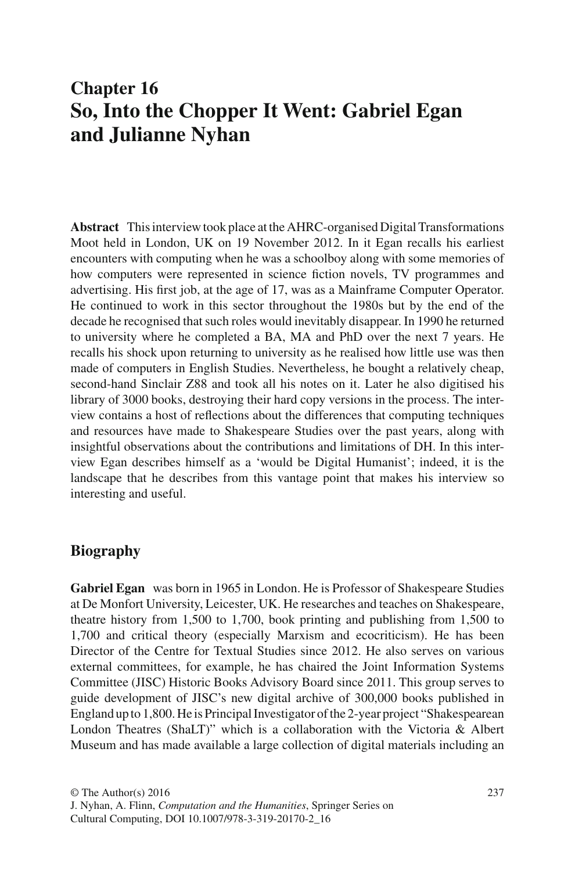## **Chapter 16 So, Into the Chopper It Went: Gabriel Egan and Julianne Nyhan**

 **Abstract** This interview took place at the AHRC-organised Digital Transformations Moot held in London, UK on 19 November 2012. In it Egan recalls his earliest encounters with computing when he was a schoolboy along with some memories of how computers were represented in science fiction novels, TV programmes and advertising. His first job, at the age of 17, was as a Mainframe Computer Operator. He continued to work in this sector throughout the 1980s but by the end of the decade he recognised that such roles would inevitably disappear. In 1990 he returned to university where he completed a BA, MA and PhD over the next 7 years. He recalls his shock upon returning to university as he realised how little use was then made of computers in English Studies. Nevertheless, he bought a relatively cheap, second-hand Sinclair Z88 and took all his notes on it. Later he also digitised his library of 3000 books, destroying their hard copy versions in the process. The interview contains a host of reflections about the differences that computing techniques and resources have made to Shakespeare Studies over the past years, along with insightful observations about the contributions and limitations of DH. In this interview Egan describes himself as a 'would be Digital Humanist'; indeed, it is the landscape that he describes from this vantage point that makes his interview so interesting and useful.

## **Biography**

 **Gabriel Egan** was born in 1965 in London. He is Professor of Shakespeare Studies at De Monfort University, Leicester, UK. He researches and teaches on Shakespeare, theatre history from 1,500 to 1,700, book printing and publishing from 1,500 to 1,700 and critical theory (especially Marxism and ecocriticism). He has been Director of the Centre for Textual Studies since 2012. He also serves on various external committees, for example, he has chaired the Joint Information Systems Committee (JISC) Historic Books Advisory Board since 2011. This group serves to guide development of JISC's new digital archive of 300,000 books published in England up to 1,800. He is Principal Investigator of the 2-year project "Shakespearean London Theatres (ShaLT)" which is a collaboration with the Victoria & Albert Museum and has made available a large collection of digital materials including an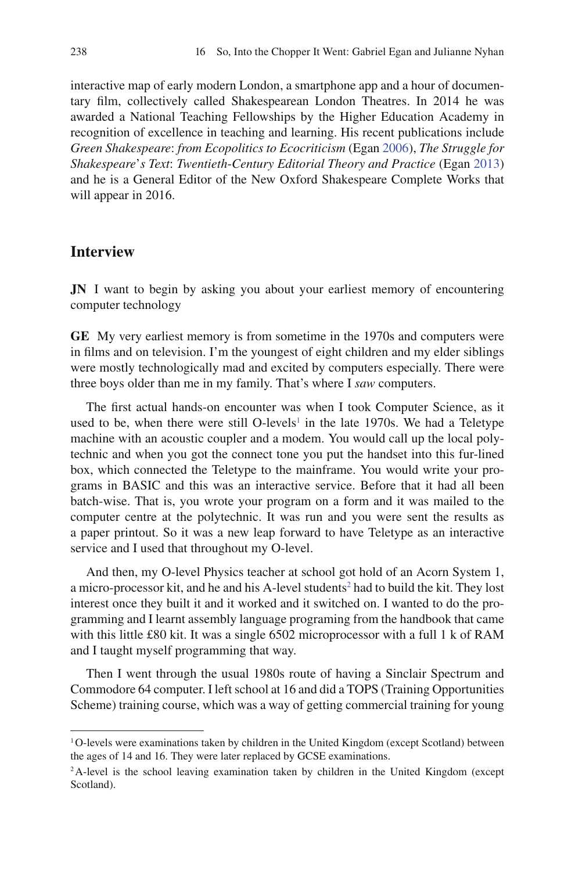interactive map of early modern London, a smartphone app and a hour of documentary film, collectively called Shakespearean London Theatres. In 2014 he was awarded a National Teaching Fellowships by the Higher Education Academy in recognition of excellence in teaching and learning. His recent publications include *Green Shakespeare* : *from Ecopolitics to Ecocriticism* (Egan 2006 ), *The Struggle for Shakespeare's Text: Twentieth-Century Editorial Theory and Practice* (Egan 2013) and he is a General Editor of the New Oxford Shakespeare Complete Works that will appear in 2016.

## **Interview**

 **JN** I want to begin by asking you about your earliest memory of encountering computer technology

 **GE** My very earliest memory is from sometime in the 1970s and computers were in films and on television. I'm the youngest of eight children and my elder siblings were mostly technologically mad and excited by computers especially. There were three boys older than me in my family. That's where I *saw* computers.

The first actual hands-on encounter was when I took Computer Science, as it used to be, when there were still O-levels<sup>1</sup> in the late 1970s. We had a Teletype machine with an acoustic coupler and a modem. You would call up the local polytechnic and when you got the connect tone you put the handset into this fur-lined box, which connected the Teletype to the mainframe. You would write your programs in BASIC and this was an interactive service. Before that it had all been batch-wise. That is, you wrote your program on a form and it was mailed to the computer centre at the polytechnic. It was run and you were sent the results as a paper printout. So it was a new leap forward to have Teletype as an interactive service and I used that throughout my O-level.

 And then, my O-level Physics teacher at school got hold of an Acorn System 1, a micro-processor kit, and he and his A-level students<sup>2</sup> had to build the kit. They lost interest once they built it and it worked and it switched on. I wanted to do the programming and I learnt assembly language programing from the handbook that came with this little £80 kit. It was a single 6502 microprocessor with a full 1 k of RAM and I taught myself programming that way.

 Then I went through the usual 1980s route of having a Sinclair Spectrum and Commodore 64 computer. I left school at 16 and did a TOPS (Training Opportunities Scheme) training course, which was a way of getting commercial training for young

<sup>&</sup>lt;sup>1</sup>O-levels were examinations taken by children in the United Kingdom (except Scotland) between the ages of 14 and 16. They were later replaced by GCSE examinations.

<sup>&</sup>lt;sup>2</sup>A-level is the school leaving examination taken by children in the United Kingdom (except Scotland).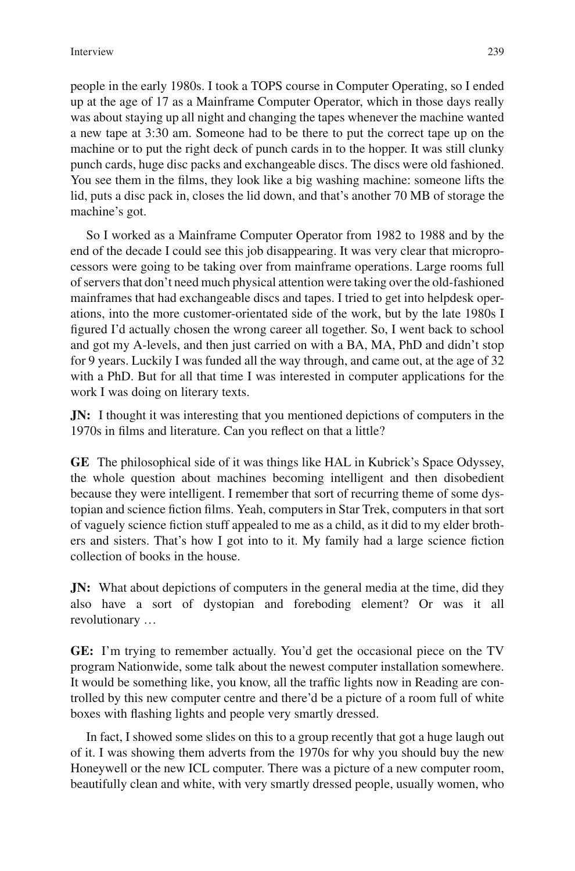people in the early 1980s. I took a TOPS course in Computer Operating, so I ended up at the age of 17 as a Mainframe Computer Operator, which in those days really was about staying up all night and changing the tapes whenever the machine wanted a new tape at 3:30 am. Someone had to be there to put the correct tape up on the machine or to put the right deck of punch cards in to the hopper. It was still clunky punch cards, huge disc packs and exchangeable discs. The discs were old fashioned. You see them in the films, they look like a big washing machine: someone lifts the lid, puts a disc pack in, closes the lid down, and that's another 70 MB of storage the machine's got.

 So I worked as a Mainframe Computer Operator from 1982 to 1988 and by the end of the decade I could see this job disappearing. It was very clear that microprocessors were going to be taking over from mainframe operations. Large rooms full of servers that don't need much physical attention were taking over the old- fashioned mainframes that had exchangeable discs and tapes. I tried to get into helpdesk operations, into the more customer-orientated side of the work, but by the late 1980s I figured I'd actually chosen the wrong career all together. So, I went back to school and got my A-levels, and then just carried on with a BA, MA, PhD and didn't stop for 9 years. Luckily I was funded all the way through, and came out, at the age of 32 with a PhD. But for all that time I was interested in computer applications for the work I was doing on literary texts.

 **JN:** I thought it was interesting that you mentioned depictions of computers in the 1970s in films and literature. Can you reflect on that a little?

 **GE** The philosophical side of it was things like HAL in Kubrick's Space Odyssey, the whole question about machines becoming intelligent and then disobedient because they were intelligent. I remember that sort of recurring theme of some dystopian and science fiction films. Yeah, computers in Star Trek, computers in that sort of vaguely science fiction stuff appealed to me as a child, as it did to my elder brothers and sisters. That's how I got into to it. My family had a large science fiction collection of books in the house.

**JN:** What about depictions of computers in the general media at the time, did they also have a sort of dystopian and foreboding element? Or was it all revolutionary …

 **GE:** I'm trying to remember actually. You'd get the occasional piece on the TV program Nationwide, some talk about the newest computer installation somewhere. It would be something like, you know, all the traffic lights now in Reading are controlled by this new computer centre and there'd be a picture of a room full of white boxes with flashing lights and people very smartly dressed.

 In fact, I showed some slides on this to a group recently that got a huge laugh out of it. I was showing them adverts from the 1970s for why you should buy the new Honeywell or the new ICL computer. There was a picture of a new computer room, beautifully clean and white, with very smartly dressed people, usually women, who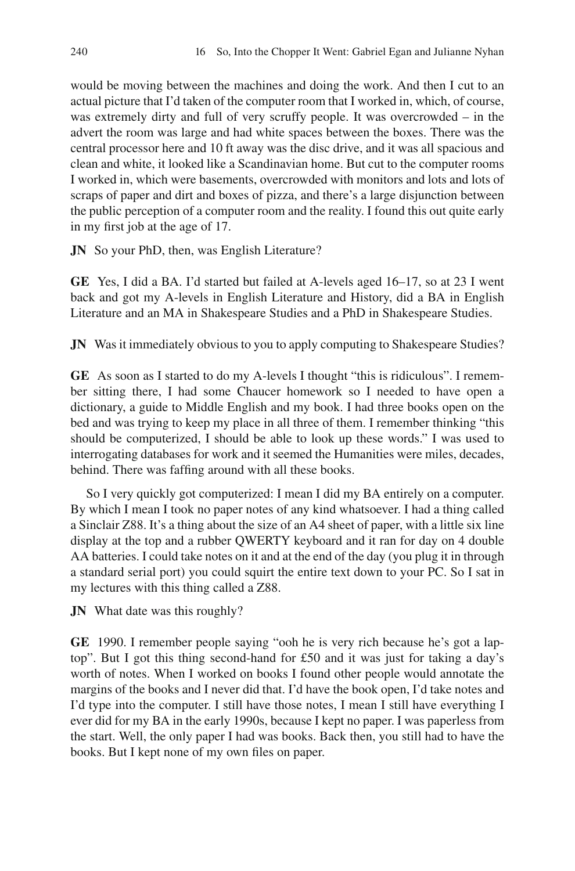would be moving between the machines and doing the work. And then I cut to an actual picture that I'd taken of the computer room that I worked in, which, of course, was extremely dirty and full of very scruffy people. It was overcrowded – in the advert the room was large and had white spaces between the boxes. There was the central processor here and 10 ft away was the disc drive, and it was all spacious and clean and white, it looked like a Scandinavian home. But cut to the computer rooms I worked in, which were basements, overcrowded with monitors and lots and lots of scraps of paper and dirt and boxes of pizza, and there's a large disjunction between the public perception of a computer room and the reality. I found this out quite early in my first job at the age of 17.

**JN** So your PhD, then, was English Literature?

 **GE** Yes, I did a BA. I'd started but failed at A-levels aged 16–17, so at 23 I went back and got my A-levels in English Literature and History, did a BA in English Literature and an MA in Shakespeare Studies and a PhD in Shakespeare Studies.

**JN** Was it immediately obvious to you to apply computing to Shakespeare Studies?

 **GE** As soon as I started to do my A-levels I thought "this is ridiculous". I remember sitting there, I had some Chaucer homework so I needed to have open a dictionary, a guide to Middle English and my book. I had three books open on the bed and was trying to keep my place in all three of them. I remember thinking "this should be computerized, I should be able to look up these words." I was used to interrogating databases for work and it seemed the Humanities were miles, decades, behind. There was faffing around with all these books.

 So I very quickly got computerized: I mean I did my BA entirely on a computer. By which I mean I took no paper notes of any kind whatsoever. I had a thing called a Sinclair Z88. It's a thing about the size of an A4 sheet of paper, with a little six line display at the top and a rubber QWERTY keyboard and it ran for day on 4 double AA batteries. I could take notes on it and at the end of the day (you plug it in through a standard serial port) you could squirt the entire text down to your PC. So I sat in my lectures with this thing called a Z88.

**JN** What date was this roughly?

 **GE** 1990. I remember people saying "ooh he is very rich because he's got a laptop". But I got this thing second-hand for £50 and it was just for taking a day's worth of notes. When I worked on books I found other people would annotate the margins of the books and I never did that. I'd have the book open, I'd take notes and I'd type into the computer. I still have those notes, I mean I still have everything I ever did for my BA in the early 1990s, because I kept no paper. I was paperless from the start. Well, the only paper I had was books. Back then, you still had to have the books. But I kept none of my own files on paper.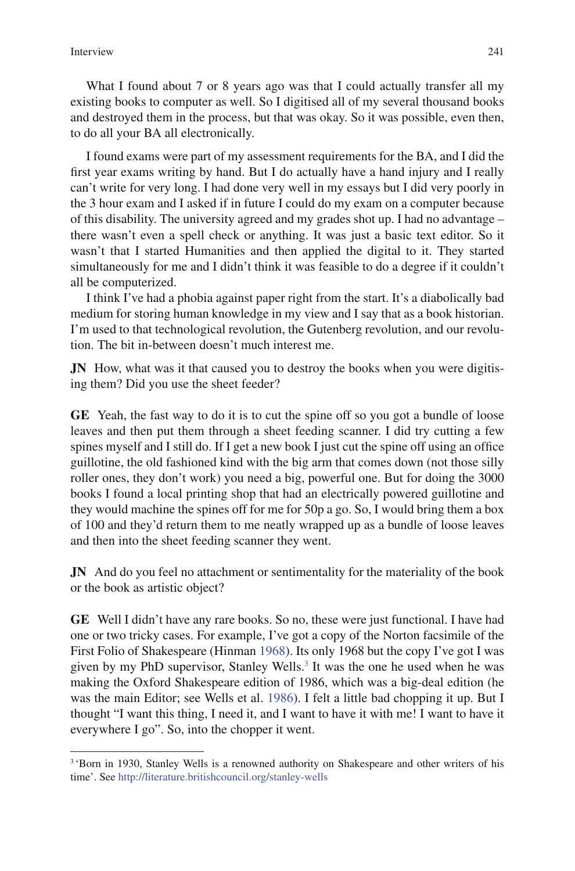What I found about 7 or 8 years ago was that I could actually transfer all my existing books to computer as well. So I digitised all of my several thousand books and destroyed them in the process, but that was okay. So it was possible, even then, to do all your BA all electronically.

 I found exams were part of my assessment requirements for the BA, and I did the first year exams writing by hand. But I do actually have a hand injury and I really can't write for very long. I had done very well in my essays but I did very poorly in the 3 hour exam and I asked if in future I could do my exam on a computer because of this disability. The university agreed and my grades shot up. I had no advantage – there wasn't even a spell check or anything. It was just a basic text editor. So it wasn't that I started Humanities and then applied the digital to it. They started simultaneously for me and I didn't think it was feasible to do a degree if it couldn't all be computerized.

 I think I've had a phobia against paper right from the start. It's a diabolically bad medium for storing human knowledge in my view and I say that as a book historian. I'm used to that technological revolution, the Gutenberg revolution, and our revolution. The bit in-between doesn't much interest me.

**JN** How, what was it that caused you to destroy the books when you were digitising them? Did you use the sheet feeder?

 **GE** Yeah, the fast way to do it is to cut the spine off so you got a bundle of loose leaves and then put them through a sheet feeding scanner. I did try cutting a few spines myself and I still do. If I get a new book I just cut the spine off using an office guillotine, the old fashioned kind with the big arm that comes down (not those silly roller ones, they don't work) you need a big, powerful one. But for doing the 3000 books I found a local printing shop that had an electrically powered guillotine and they would machine the spines off for me for 50p a go. So, I would bring them a box of 100 and they'd return them to me neatly wrapped up as a bundle of loose leaves and then into the sheet feeding scanner they went.

 **JN** And do you feel no attachment or sentimentality for the materiality of the book or the book as artistic object?

 **GE** Well I didn't have any rare books. So no, these were just functional. I have had one or two tricky cases. For example, I've got a copy of the Norton facsimile of the First Folio of Shakespeare (Hinman 1968). Its only 1968 but the copy I've got I was given by my PhD supervisor, Stanley Wells.<sup>3</sup> It was the one he used when he was making the Oxford Shakespeare edition of 1986, which was a big-deal edition (he was the main Editor; see Wells et al. 1986 ). I felt a little bad chopping it up. But I thought "I want this thing, I need it, and I want to have it with me! I want to have it everywhere I go". So, into the chopper it went.

<sup>&</sup>lt;sup>3</sup> 'Born in 1930, Stanley Wells is a renowned authority on Shakespeare and other writers of his time'. See<http://literature.britishcouncil.org/stanley-wells>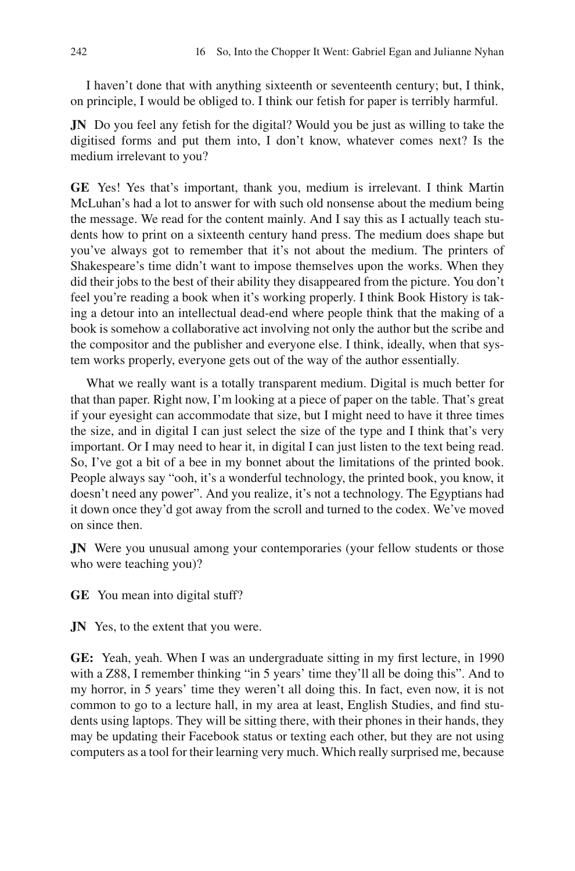I haven't done that with anything sixteenth or seventeenth century; but, I think, on principle, I would be obliged to. I think our fetish for paper is terribly harmful.

 **JN** Do you feel any fetish for the digital? Would you be just as willing to take the digitised forms and put them into, I don't know, whatever comes next? Is the medium irrelevant to you?

 **GE** Yes! Yes that's important, thank you, medium is irrelevant. I think Martin McLuhan's had a lot to answer for with such old nonsense about the medium being the message. We read for the content mainly. And I say this as I actually teach students how to print on a sixteenth century hand press. The medium does shape but you've always got to remember that it's not about the medium. The printers of Shakespeare's time didn't want to impose themselves upon the works. When they did their jobs to the best of their ability they disappeared from the picture. You don't feel you're reading a book when it's working properly. I think Book History is taking a detour into an intellectual dead-end where people think that the making of a book is somehow a collaborative act involving not only the author but the scribe and the compositor and the publisher and everyone else. I think, ideally, when that system works properly, everyone gets out of the way of the author essentially.

 What we really want is a totally transparent medium. Digital is much better for that than paper. Right now, I'm looking at a piece of paper on the table. That's great if your eyesight can accommodate that size, but I might need to have it three times the size, and in digital I can just select the size of the type and I think that's very important. Or I may need to hear it, in digital I can just listen to the text being read. So, I've got a bit of a bee in my bonnet about the limitations of the printed book. People always say "ooh, it's a wonderful technology, the printed book, you know, it doesn't need any power". And you realize, it's not a technology. The Egyptians had it down once they'd got away from the scroll and turned to the codex. We've moved on since then.

 **JN** Were you unusual among your contemporaries (your fellow students or those who were teaching you)?

 **GE** You mean into digital stuff?

**JN** Yes, to the extent that you were.

**GE:** Yeah, yeah. When I was an undergraduate sitting in my first lecture, in 1990 with a Z88, I remember thinking "in 5 years' time they'll all be doing this". And to my horror, in 5 years' time they weren't all doing this. In fact, even now, it is not common to go to a lecture hall, in my area at least, English Studies, and find students using laptops. They will be sitting there, with their phones in their hands, they may be updating their Facebook status or texting each other, but they are not using computers as a tool for their learning very much. Which really surprised me, because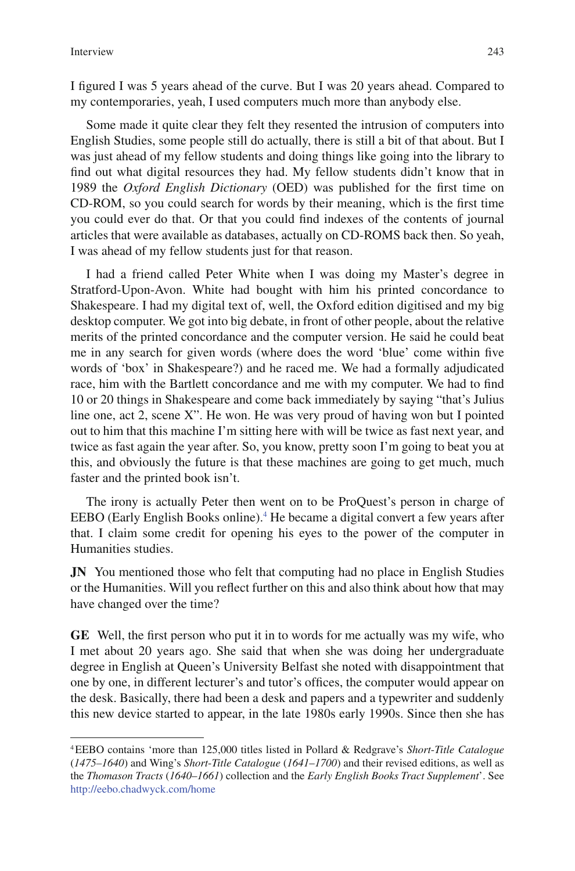Interview

I figured I was 5 years ahead of the curve. But I was 20 years ahead. Compared to my contemporaries, yeah, I used computers much more than anybody else.

 Some made it quite clear they felt they resented the intrusion of computers into English Studies, some people still do actually, there is still a bit of that about. But I was just ahead of my fellow students and doing things like going into the library to find out what digital resources they had. My fellow students didn't know that in 1989 the *Oxford English Dictionary* (OED) was published for the first time on CD-ROM, so you could search for words by their meaning, which is the first time you could ever do that. Or that you could find indexes of the contents of journal articles that were available as databases, actually on CD-ROMS back then. So yeah, I was ahead of my fellow students just for that reason.

 I had a friend called Peter White when I was doing my Master's degree in Stratford-Upon-Avon. White had bought with him his printed concordance to Shakespeare. I had my digital text of, well, the Oxford edition digitised and my big desktop computer. We got into big debate, in front of other people, about the relative merits of the printed concordance and the computer version. He said he could beat me in any search for given words (where does the word 'blue' come within five words of 'box' in Shakespeare?) and he raced me. We had a formally adjudicated race, him with the Bartlett concordance and me with my computer. We had to find 10 or 20 things in Shakespeare and come back immediately by saying "that's Julius line one, act 2, scene X". He won. He was very proud of having won but I pointed out to him that this machine I'm sitting here with will be twice as fast next year, and twice as fast again the year after. So, you know, pretty soon I'm going to beat you at this, and obviously the future is that these machines are going to get much, much faster and the printed book isn't.

 The irony is actually Peter then went on to be ProQuest's person in charge of EEBO (Early English Books online).<sup>4</sup> He became a digital convert a few years after that. I claim some credit for opening his eyes to the power of the computer in Humanities studies.

 **JN** You mentioned those who felt that computing had no place in English Studies or the Humanities. Will you reflect further on this and also think about how that may have changed over the time?

**GE** Well, the first person who put it in to words for me actually was my wife, who I met about 20 years ago. She said that when she was doing her undergraduate degree in English at Queen's University Belfast she noted with disappointment that one by one, in different lecturer's and tutor's offices, the computer would appear on the desk. Basically, there had been a desk and papers and a typewriter and suddenly this new device started to appear, in the late 1980s early 1990s. Since then she has

<sup>4</sup> EEBO contains 'more than 125,000 titles listed in Pollard & Redgrave's *Short* - *Title Catalogue*  ( *1475–1640* ) and Wing's *Short* - *Title Catalogue* ( *1641* – *1700* ) and their revised editions, as well as the *Thomason Tracts* ( *1640* – *1661* ) collection and the *Early English Books Tract Supplement* '. See <http://eebo.chadwyck.com/home>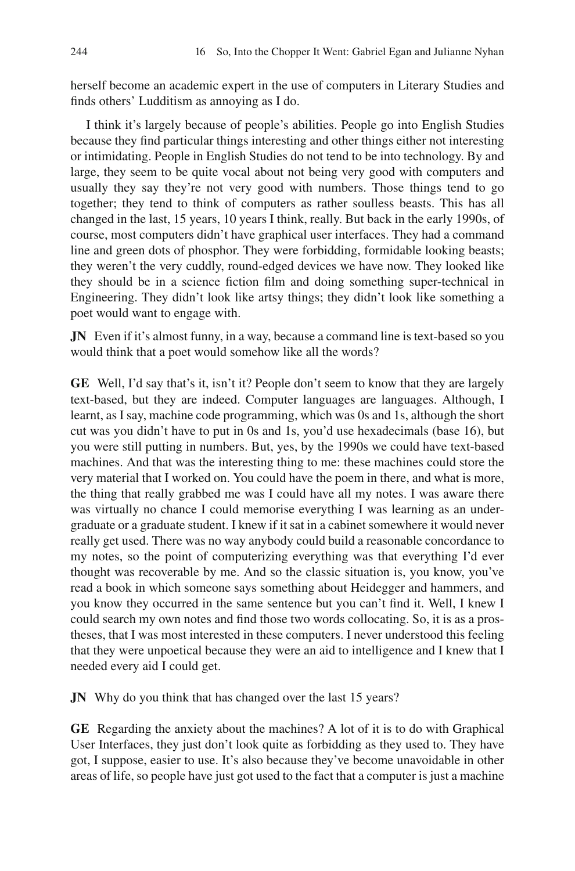herself become an academic expert in the use of computers in Literary Studies and finds others' Ludditism as annoying as I do.

 I think it's largely because of people's abilities. People go into English Studies because they find particular things interesting and other things either not interesting or intimidating. People in English Studies do not tend to be into technology. By and large, they seem to be quite vocal about not being very good with computers and usually they say they're not very good with numbers. Those things tend to go together; they tend to think of computers as rather soulless beasts. This has all changed in the last, 15 years, 10 years I think, really. But back in the early 1990s, of course, most computers didn't have graphical user interfaces. They had a command line and green dots of phosphor. They were forbidding, formidable looking beasts; they weren't the very cuddly, round-edged devices we have now. They looked like they should be in a science fiction film and doing something super-technical in Engineering. They didn't look like artsy things; they didn't look like something a poet would want to engage with.

**JN** Even if it's almost funny, in a way, because a command line is text-based so you would think that a poet would somehow like all the words?

 **GE** Well, I'd say that's it, isn't it? People don't seem to know that they are largely text-based, but they are indeed. Computer languages are languages. Although, I learnt, as I say, machine code programming, which was 0s and 1s, although the short cut was you didn't have to put in 0s and 1s, you'd use hexadecimals (base 16), but you were still putting in numbers. But, yes, by the 1990s we could have text-based machines. And that was the interesting thing to me: these machines could store the very material that I worked on. You could have the poem in there, and what is more, the thing that really grabbed me was I could have all my notes. I was aware there was virtually no chance I could memorise everything I was learning as an undergraduate or a graduate student. I knew if it sat in a cabinet somewhere it would never really get used. There was no way anybody could build a reasonable concordance to my notes, so the point of computerizing everything was that everything I'd ever thought was recoverable by me. And so the classic situation is, you know, you've read a book in which someone says something about Heidegger and hammers, and you know they occurred in the same sentence but you can't find it. Well, I knew I could search my own notes and find those two words collocating. So, it is as a prostheses, that I was most interested in these computers. I never understood this feeling that they were unpoetical because they were an aid to intelligence and I knew that I needed every aid I could get.

**JN** Why do you think that has changed over the last 15 years?

 **GE** Regarding the anxiety about the machines? A lot of it is to do with Graphical User Interfaces, they just don't look quite as forbidding as they used to. They have got, I suppose, easier to use. It's also because they've become unavoidable in other areas of life, so people have just got used to the fact that a computer is just a machine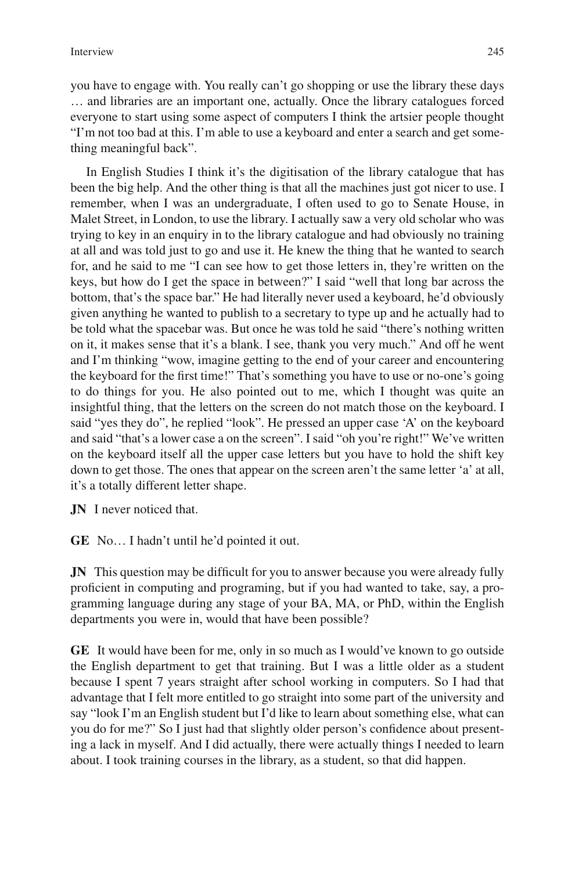Interview

you have to engage with. You really can't go shopping or use the library these days … and libraries are an important one, actually. Once the library catalogues forced everyone to start using some aspect of computers I think the artsier people thought "I'm not too bad at this. I'm able to use a keyboard and enter a search and get something meaningful back".

 In English Studies I think it's the digitisation of the library catalogue that has been the big help. And the other thing is that all the machines just got nicer to use. I remember, when I was an undergraduate, I often used to go to Senate House, in Malet Street, in London, to use the library. I actually saw a very old scholar who was trying to key in an enquiry in to the library catalogue and had obviously no training at all and was told just to go and use it. He knew the thing that he wanted to search for, and he said to me "I can see how to get those letters in, they're written on the keys, but how do I get the space in between?" I said "well that long bar across the bottom, that's the space bar." He had literally never used a keyboard, he'd obviously given anything he wanted to publish to a secretary to type up and he actually had to be told what the spacebar was. But once he was told he said "there's nothing written on it, it makes sense that it's a blank. I see, thank you very much." And off he went and I'm thinking "wow, imagine getting to the end of your career and encountering the keyboard for the first time!" That's something you have to use or no-one's going to do things for you. He also pointed out to me, which I thought was quite an insightful thing, that the letters on the screen do not match those on the keyboard. I said "yes they do", he replied "look". He pressed an upper case 'A' on the keyboard and said "that's a lower case a on the screen". I said "oh you're right!" We've written on the keyboard itself all the upper case letters but you have to hold the shift key down to get those. The ones that appear on the screen aren't the same letter 'a' at all, it's a totally different letter shape.

**JN** I never noticed that.

 **GE** No… I hadn't until he'd pointed it out.

**JN** This question may be difficult for you to answer because you were already fully proficient in computing and programing, but if you had wanted to take, say, a programming language during any stage of your BA, MA, or PhD, within the English departments you were in, would that have been possible?

 **GE** It would have been for me, only in so much as I would've known to go outside the English department to get that training. But I was a little older as a student because I spent 7 years straight after school working in computers. So I had that advantage that I felt more entitled to go straight into some part of the university and say "look I'm an English student but I'd like to learn about something else, what can you do for me?" So I just had that slightly older person's confidence about presenting a lack in myself. And I did actually, there were actually things I needed to learn about. I took training courses in the library, as a student, so that did happen.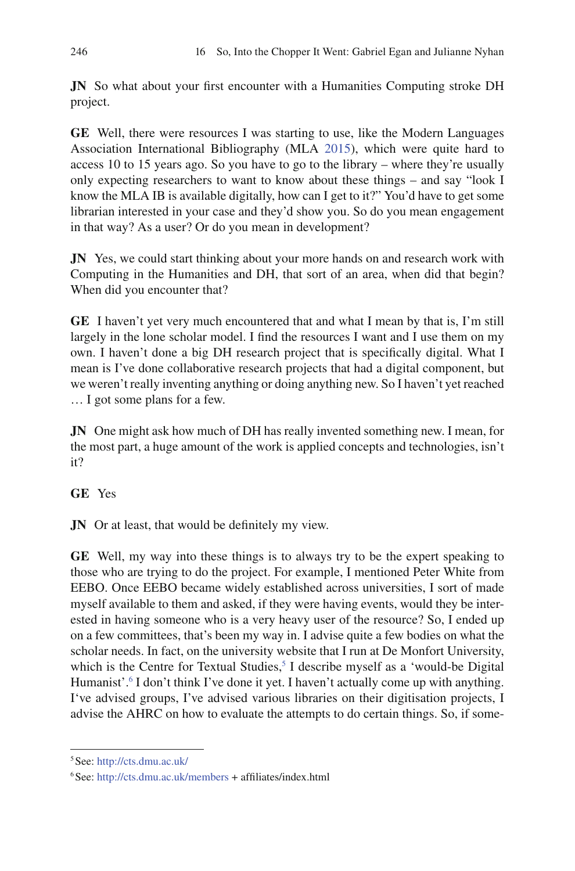**JN** So what about your first encounter with a Humanities Computing stroke DH project.

 **GE** Well, there were resources I was starting to use, like the Modern Languages Association International Bibliography (MLA 2015), which were quite hard to access 10 to 15 years ago. So you have to go to the library – where they're usually only expecting researchers to want to know about these things – and say "look I know the MLA IB is available digitally, how can I get to it?" You'd have to get some librarian interested in your case and they'd show you. So do you mean engagement in that way? As a user? Or do you mean in development?

 **JN** Yes, we could start thinking about your more hands on and research work with Computing in the Humanities and DH, that sort of an area, when did that begin? When did you encounter that?

 **GE** I haven't yet very much encountered that and what I mean by that is, I'm still largely in the lone scholar model. I find the resources I want and I use them on my own. I haven't done a big DH research project that is specifically digital. What I mean is I've done collaborative research projects that had a digital component, but we weren't really inventing anything or doing anything new. So I haven't yet reached … I got some plans for a few.

 **JN** One might ask how much of DH has really invented something new. I mean, for the most part, a huge amount of the work is applied concepts and technologies, isn't it?

 **GE** Yes

**JN** Or at least, that would be definitely my view.

 **GE** Well, my way into these things is to always try to be the expert speaking to those who are trying to do the project. For example, I mentioned Peter White from EEBO. Once EEBO became widely established across universities, I sort of made myself available to them and asked, if they were having events, would they be interested in having someone who is a very heavy user of the resource? So, I ended up on a few committees, that's been my way in. I advise quite a few bodies on what the scholar needs. In fact, on the university website that I run at De Monfort University, which is the Centre for Textual Studies,<sup>5</sup> I describe myself as a 'would-be Digital Humanist'.<sup>6</sup> I don't think I've done it yet. I haven't actually come up with anything. I've advised groups, I've advised various libraries on their digitisation projects, I advise the AHRC on how to evaluate the attempts to do certain things. So, if some-

<sup>5</sup> See:<http://cts.dmu.ac.uk/>

 $6$ See:<http://cts.dmu.ac.uk/members> + affiliates/index.html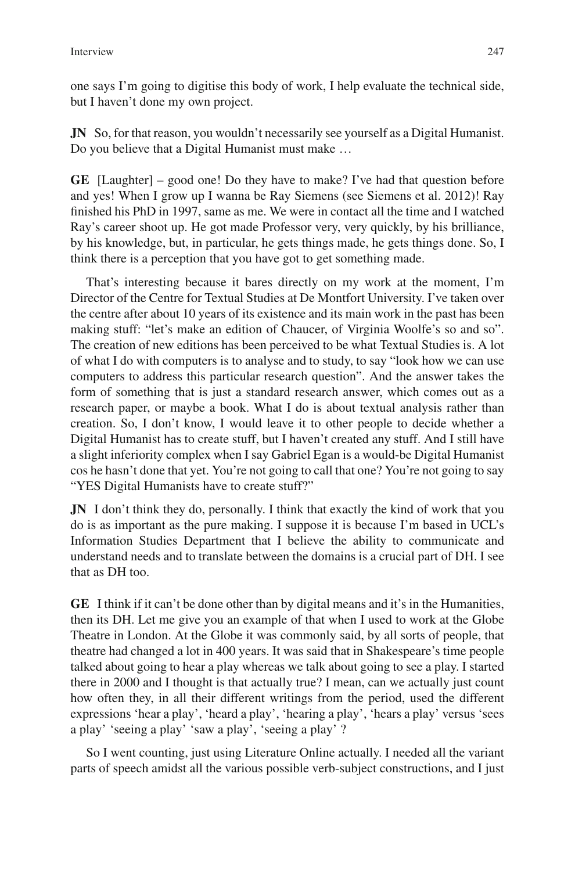one says I'm going to digitise this body of work, I help evaluate the technical side, but I haven't done my own project.

**JN** So, for that reason, you wouldn't necessarily see yourself as a Digital Humanist. Do you believe that a Digital Humanist must make …

 **GE** [Laughter] – good one! Do they have to make? I've had that question before and yes! When I grow up I wanna be Ray Siemens (see Siemens et al. 2012)! Ray finished his PhD in 1997, same as me. We were in contact all the time and I watched Ray's career shoot up. He got made Professor very, very quickly, by his brilliance, by his knowledge, but, in particular, he gets things made, he gets things done. So, I think there is a perception that you have got to get something made.

 That's interesting because it bares directly on my work at the moment, I'm Director of the Centre for Textual Studies at De Montfort University. I've taken over the centre after about 10 years of its existence and its main work in the past has been making stuff: "let's make an edition of Chaucer, of Virginia Woolfe's so and so". The creation of new editions has been perceived to be what Textual Studies is. A lot of what I do with computers is to analyse and to study, to say "look how we can use computers to address this particular research question". And the answer takes the form of something that is just a standard research answer, which comes out as a research paper, or maybe a book. What I do is about textual analysis rather than creation. So, I don't know, I would leave it to other people to decide whether a Digital Humanist has to create stuff, but I haven't created any stuff. And I still have a slight inferiority complex when I say Gabriel Egan is a would-be Digital Humanist cos he hasn't done that yet. You're not going to call that one? You're not going to say "YES Digital Humanists have to create stuff?"

 **JN** I don't think they do, personally. I think that exactly the kind of work that you do is as important as the pure making. I suppose it is because I'm based in UCL's Information Studies Department that I believe the ability to communicate and understand needs and to translate between the domains is a crucial part of DH. I see that as DH too.

 **GE** I think if it can't be done other than by digital means and it's in the Humanities, then its DH. Let me give you an example of that when I used to work at the Globe Theatre in London. At the Globe it was commonly said, by all sorts of people, that theatre had changed a lot in 400 years. It was said that in Shakespeare's time people talked about going to hear a play whereas we talk about going to see a play. I started there in 2000 and I thought is that actually true? I mean, can we actually just count how often they, in all their different writings from the period, used the different expressions 'hear a play', 'heard a play', 'hearing a play', 'hears a play' versus 'sees a play' 'seeing a play' 'saw a play', 'seeing a play' ?

 So I went counting, just using Literature Online actually. I needed all the variant parts of speech amidst all the various possible verb-subject constructions, and I just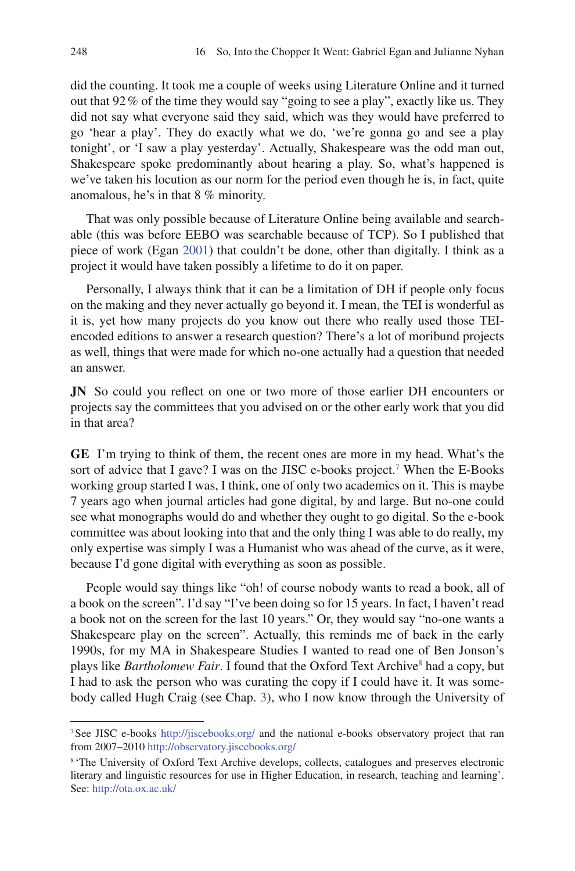did the counting. It took me a couple of weeks using Literature Online and it turned out that 92 % of the time they would say "going to see a play", exactly like us. They did not say what everyone said they said, which was they would have preferred to go 'hear a play'. They do exactly what we do, 'we're gonna go and see a play tonight', or 'I saw a play yesterday'. Actually, Shakespeare was the odd man out, Shakespeare spoke predominantly about hearing a play. So, what's happened is we've taken his locution as our norm for the period even though he is, in fact, quite anomalous, he's in that 8 % minority.

 That was only possible because of Literature Online being available and searchable (this was before EEBO was searchable because of TCP). So I published that piece of work (Egan 2001) that couldn't be done, other than digitally. I think as a project it would have taken possibly a lifetime to do it on paper.

 Personally, I always think that it can be a limitation of DH if people only focus on the making and they never actually go beyond it. I mean, the TEI is wonderful as it is, yet how many projects do you know out there who really used those TEIencoded editions to answer a research question? There's a lot of moribund projects as well, things that were made for which no-one actually had a question that needed an answer.

**JN** So could you reflect on one or two more of those earlier DH encounters or projects say the committees that you advised on or the other early work that you did in that area?

 **GE** I'm trying to think of them, the recent ones are more in my head. What's the sort of advice that I gave? I was on the JISC e-books project.<sup>7</sup> When the E-Books working group started I was, I think, one of only two academics on it. This is maybe 7 years ago when journal articles had gone digital, by and large. But no-one could see what monographs would do and whether they ought to go digital. So the e-book committee was about looking into that and the only thing I was able to do really, my only expertise was simply I was a Humanist who was ahead of the curve, as it were, because I'd gone digital with everything as soon as possible.

 People would say things like "oh! of course nobody wants to read a book, all of a book on the screen". I'd say "I've been doing so for 15 years. In fact, I haven't read a book not on the screen for the last 10 years." Or, they would say "no-one wants a Shakespeare play on the screen". Actually, this reminds me of back in the early 1990s, for my MA in Shakespeare Studies I wanted to read one of Ben Jonson's plays like *Bartholomew Fair*. I found that the Oxford Text Archive<sup>8</sup> had a copy, but I had to ask the person who was curating the copy if I could have it. It was somebody called Hugh Craig (see Chap. [3\)](http://dx.doi.org/10.1007/978-3-319-20170-2_3), who I now know through the University of

<sup>7</sup> See JISC e-books <http://jiscebooks.org/>and the national e-books observatory project that ran from 2007–2010 <http://observatory.jiscebooks.org/>

<sup>&</sup>lt;sup>8</sup> 'The University of Oxford Text Archive develops, collects, catalogues and preserves electronic literary and linguistic resources for use in Higher Education, in research, teaching and learning'. See: <http://ota.ox.ac.uk/>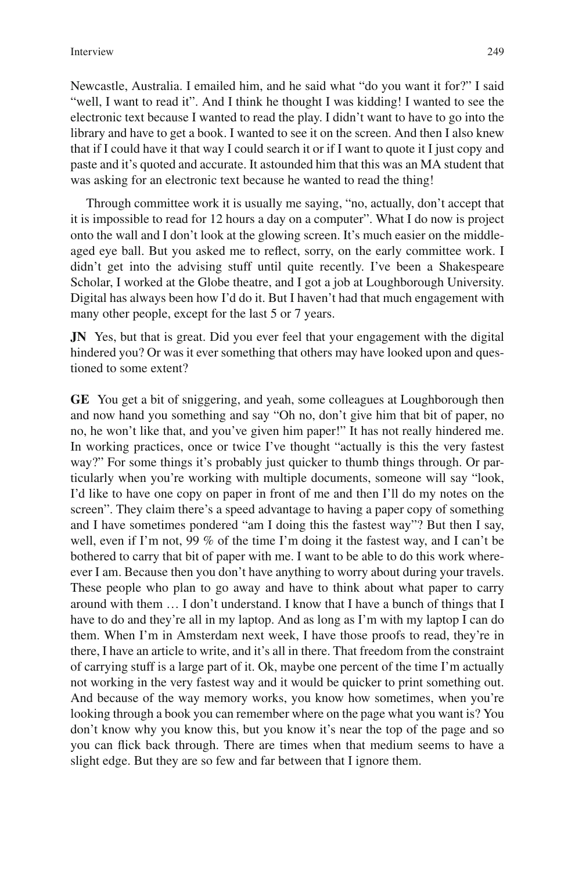Newcastle, Australia. I emailed him, and he said what "do you want it for?" I said "well, I want to read it". And I think he thought I was kidding! I wanted to see the electronic text because I wanted to read the play. I didn't want to have to go into the library and have to get a book. I wanted to see it on the screen. And then I also knew that if I could have it that way I could search it or if I want to quote it I just copy and paste and it's quoted and accurate. It astounded him that this was an MA student that was asking for an electronic text because he wanted to read the thing!

 Through committee work it is usually me saying, "no, actually, don't accept that it is impossible to read for 12 hours a day on a computer". What I do now is project onto the wall and I don't look at the glowing screen. It's much easier on the middleaged eye ball. But you asked me to reflect, sorry, on the early committee work. I didn't get into the advising stuff until quite recently. I've been a Shakespeare Scholar, I worked at the Globe theatre, and I got a job at Loughborough University. Digital has always been how I'd do it. But I haven't had that much engagement with many other people, except for the last 5 or 7 years.

 **JN** Yes, but that is great. Did you ever feel that your engagement with the digital hindered you? Or was it ever something that others may have looked upon and questioned to some extent?

 **GE** You get a bit of sniggering, and yeah, some colleagues at Loughborough then and now hand you something and say "Oh no, don't give him that bit of paper, no no, he won't like that, and you've given him paper!" It has not really hindered me. In working practices, once or twice I've thought "actually is this the very fastest way?" For some things it's probably just quicker to thumb things through. Or particularly when you're working with multiple documents, someone will say "look, I'd like to have one copy on paper in front of me and then I'll do my notes on the screen". They claim there's a speed advantage to having a paper copy of something and I have sometimes pondered "am I doing this the fastest way"? But then I say, well, even if I'm not, 99 % of the time I'm doing it the fastest way, and I can't be bothered to carry that bit of paper with me. I want to be able to do this work whereever I am. Because then you don't have anything to worry about during your travels. These people who plan to go away and have to think about what paper to carry around with them … I don't understand. I know that I have a bunch of things that I have to do and they're all in my laptop. And as long as I'm with my laptop I can do them. When I'm in Amsterdam next week, I have those proofs to read, they're in there, I have an article to write, and it's all in there. That freedom from the constraint of carrying stuff is a large part of it. Ok, maybe one percent of the time I'm actually not working in the very fastest way and it would be quicker to print something out. And because of the way memory works, you know how sometimes, when you're looking through a book you can remember where on the page what you want is? You don't know why you know this, but you know it's near the top of the page and so you can flick back through. There are times when that medium seems to have a slight edge. But they are so few and far between that I ignore them.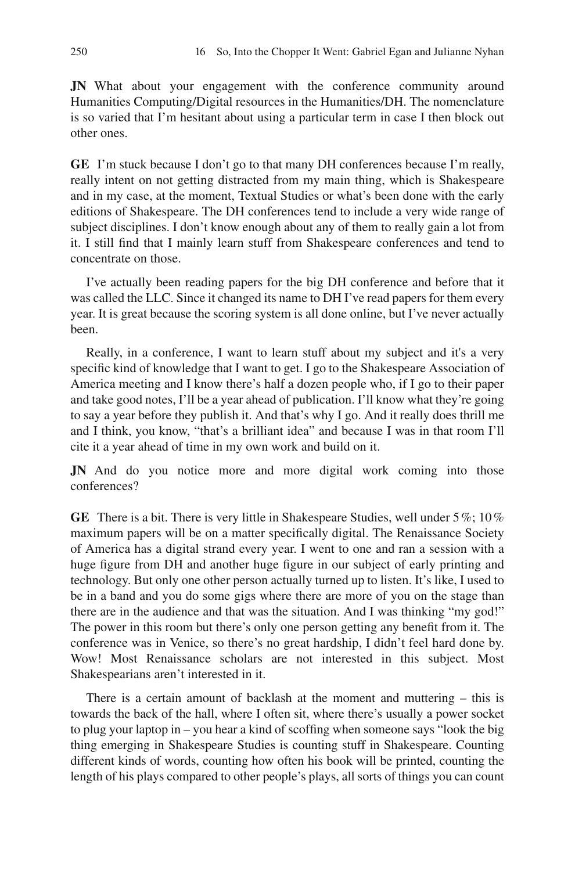**JN** What about your engagement with the conference community around Humanities Computing/Digital resources in the Humanities/DH. The nomenclature is so varied that I'm hesitant about using a particular term in case I then block out other ones.

 **GE** I'm stuck because I don't go to that many DH conferences because I'm really, really intent on not getting distracted from my main thing, which is Shakespeare and in my case, at the moment, Textual Studies or what's been done with the early editions of Shakespeare. The DH conferences tend to include a very wide range of subject disciplines. I don't know enough about any of them to really gain a lot from it. I still find that I mainly learn stuff from Shakespeare conferences and tend to concentrate on those.

 I've actually been reading papers for the big DH conference and before that it was called the LLC. Since it changed its name to DH I've read papers for them every year. It is great because the scoring system is all done online, but I've never actually been.

 Really, in a conference, I want to learn stuff about my subject and it's a very specific kind of knowledge that I want to get. I go to the Shakespeare Association of America meeting and I know there's half a dozen people who, if I go to their paper and take good notes, I'll be a year ahead of publication. I'll know what they're going to say a year before they publish it. And that's why I go. And it really does thrill me and I think, you know, "that's a brilliant idea" and because I was in that room I'll cite it a year ahead of time in my own work and build on it.

 **JN** And do you notice more and more digital work coming into those conferences?

 **GE** There is a bit. There is very little in Shakespeare Studies, well under 5 %; 10 % maximum papers will be on a matter specifically digital. The Renaissance Society of America has a digital strand every year. I went to one and ran a session with a huge figure from DH and another huge figure in our subject of early printing and technology. But only one other person actually turned up to listen. It's like, I used to be in a band and you do some gigs where there are more of you on the stage than there are in the audience and that was the situation. And I was thinking "my god!" The power in this room but there's only one person getting any benefit from it. The conference was in Venice, so there's no great hardship, I didn't feel hard done by. Wow! Most Renaissance scholars are not interested in this subject. Most Shakespearians aren't interested in it.

 There is a certain amount of backlash at the moment and muttering – this is towards the back of the hall, where I often sit, where there's usually a power socket to plug your laptop in  $-$  you hear a kind of scoffing when someone says "look the big thing emerging in Shakespeare Studies is counting stuff in Shakespeare. Counting different kinds of words, counting how often his book will be printed, counting the length of his plays compared to other people's plays, all sorts of things you can count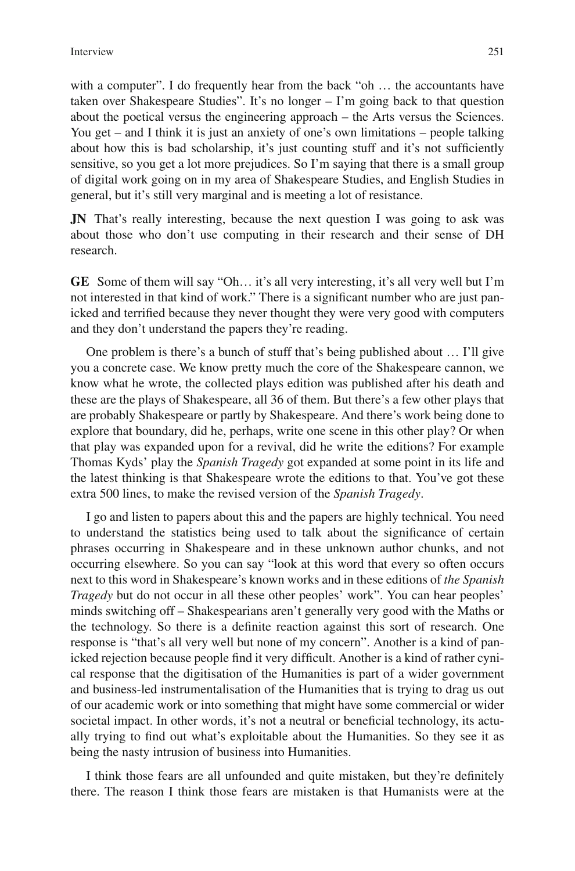with a computer". I do frequently hear from the back "oh ... the accountants have taken over Shakespeare Studies". It's no longer – I'm going back to that question about the poetical versus the engineering approach – the Arts versus the Sciences. You get – and I think it is just an anxiety of one's own limitations – people talking about how this is bad scholarship, it's just counting stuff and it's not sufficiently sensitive, so you get a lot more prejudices. So I'm saying that there is a small group of digital work going on in my area of Shakespeare Studies, and English Studies in general, but it's still very marginal and is meeting a lot of resistance.

 **JN** That's really interesting, because the next question I was going to ask was about those who don't use computing in their research and their sense of DH research.

 **GE** Some of them will say "Oh… it's all very interesting, it's all very well but I'm not interested in that kind of work." There is a significant number who are just panicked and terrified because they never thought they were very good with computers and they don't understand the papers they're reading.

 One problem is there's a bunch of stuff that's being published about … I'll give you a concrete case. We know pretty much the core of the Shakespeare cannon, we know what he wrote, the collected plays edition was published after his death and these are the plays of Shakespeare, all 36 of them. But there's a few other plays that are probably Shakespeare or partly by Shakespeare. And there's work being done to explore that boundary, did he, perhaps, write one scene in this other play? Or when that play was expanded upon for a revival, did he write the editions? For example Thomas Kyds' play the *Spanish Tragedy* got expanded at some point in its life and the latest thinking is that Shakespeare wrote the editions to that. You've got these extra 500 lines, to make the revised version of the *Spanish Tragedy* .

 I go and listen to papers about this and the papers are highly technical. You need to understand the statistics being used to talk about the significance of certain phrases occurring in Shakespeare and in these unknown author chunks, and not occurring elsewhere. So you can say "look at this word that every so often occurs next to this word in Shakespeare's known works and in these editions of *the Spanish Tragedy* but do not occur in all these other peoples' work". You can hear peoples' minds switching off – Shakespearians aren't generally very good with the Maths or the technology. So there is a definite reaction against this sort of research. One response is "that's all very well but none of my concern". Another is a kind of panicked rejection because people find it very difficult. Another is a kind of rather cynical response that the digitisation of the Humanities is part of a wider government and business-led instrumentalisation of the Humanities that is trying to drag us out of our academic work or into something that might have some commercial or wider societal impact. In other words, it's not a neutral or beneficial technology, its actually trying to find out what's exploitable about the Humanities. So they see it as being the nasty intrusion of business into Humanities.

I think those fears are all unfounded and quite mistaken, but they're definitely there. The reason I think those fears are mistaken is that Humanists were at the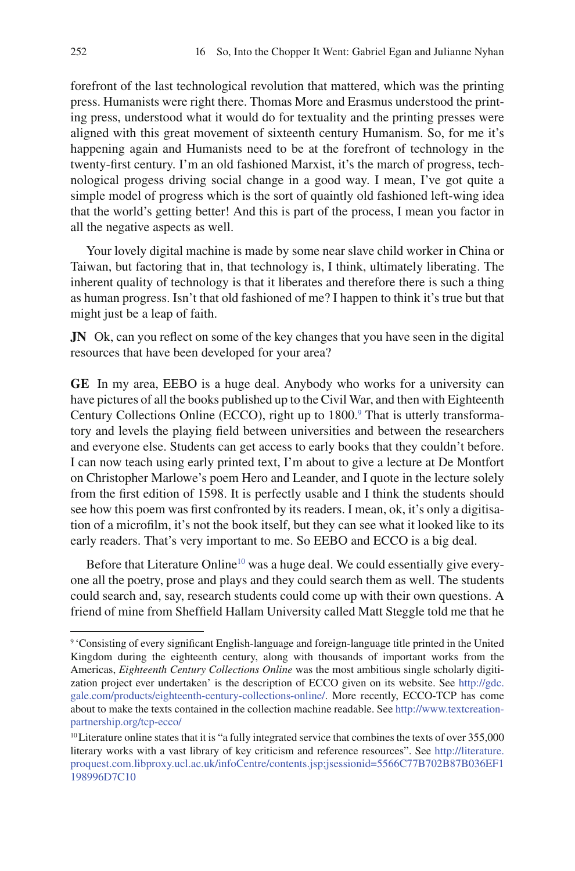forefront of the last technological revolution that mattered, which was the printing press. Humanists were right there. Thomas More and Erasmus understood the printing press, understood what it would do for textuality and the printing presses were aligned with this great movement of sixteenth century Humanism. So, for me it's happening again and Humanists need to be at the forefront of technology in the twenty-first century. I'm an old fashioned Marxist, it's the march of progress, technological progess driving social change in a good way. I mean, I've got quite a simple model of progress which is the sort of quaintly old fashioned left-wing idea that the world's getting better! And this is part of the process, I mean you factor in all the negative aspects as well.

 Your lovely digital machine is made by some near slave child worker in China or Taiwan, but factoring that in, that technology is, I think, ultimately liberating. The inherent quality of technology is that it liberates and therefore there is such a thing as human progress. Isn't that old fashioned of me? I happen to think it's true but that might just be a leap of faith.

**JN** Ok, can you reflect on some of the key changes that you have seen in the digital resources that have been developed for your area?

 **GE** In my area, EEBO is a huge deal. Anybody who works for a university can have pictures of all the books published up to the Civil War, and then with Eighteenth Century Collections Online (ECCO), right up to 1800.<sup>9</sup> That is utterly transformatory and levels the playing field between universities and between the researchers and everyone else. Students can get access to early books that they couldn't before. I can now teach using early printed text, I'm about to give a lecture at De Montfort on Christopher Marlowe's poem Hero and Leander, and I quote in the lecture solely from the first edition of 1598. It is perfectly usable and I think the students should see how this poem was first confronted by its readers. I mean, ok, it's only a digitisation of a microfilm, it's not the book itself, but they can see what it looked like to its early readers. That's very important to me. So EEBO and ECCO is a big deal.

Before that Literature Online<sup>10</sup> was a huge deal. We could essentially give everyone all the poetry, prose and plays and they could search them as well. The students could search and, say, research students could come up with their own questions. A friend of mine from Sheffield Hallam University called Matt Steggle told me that he

<sup>&</sup>lt;sup>9</sup> 'Consisting of every significant English-language and foreign-language title printed in the United Kingdom during the eighteenth century, along with thousands of important works from the Americas, *Eighteenth Century Collections Online* was the most ambitious single scholarly digitization project ever undertaken' is the description of ECCO given on its website. See [http://gdc.](http://gdc.gale.com/products/eighteenth-century-collections-online/) [gale.com/products/eighteenth-century-collections-online/ .](http://gdc.gale.com/products/eighteenth-century-collections-online/) More recently, ECCO-TCP has come about to make the texts contained in the collection machine readable. See [http://www.textcreation](http://www.textcreationpartnership.org/tcp-ecco/)[partnership.org/tcp-ecco/](http://www.textcreationpartnership.org/tcp-ecco/)

 $10$  Literature online states that it is "a fully integrated service that combines the texts of over 355,000 literary works with a vast library of key criticism and reference resources". See [http://literature.](http://literature.proquest.com.libproxy.ucl.ac.uk/infoCentre/contents.jsp;jsessionid=5566C77B702B87B036EF1198996D7C10) [proquest.com.libproxy.ucl.ac.uk/infoCentre/contents.jsp;jsessionid=5566C77B702B87B036EF1](http://literature.proquest.com.libproxy.ucl.ac.uk/infoCentre/contents.jsp;jsessionid=5566C77B702B87B036EF1198996D7C10) [198996D7C10](http://literature.proquest.com.libproxy.ucl.ac.uk/infoCentre/contents.jsp;jsessionid=5566C77B702B87B036EF1198996D7C10)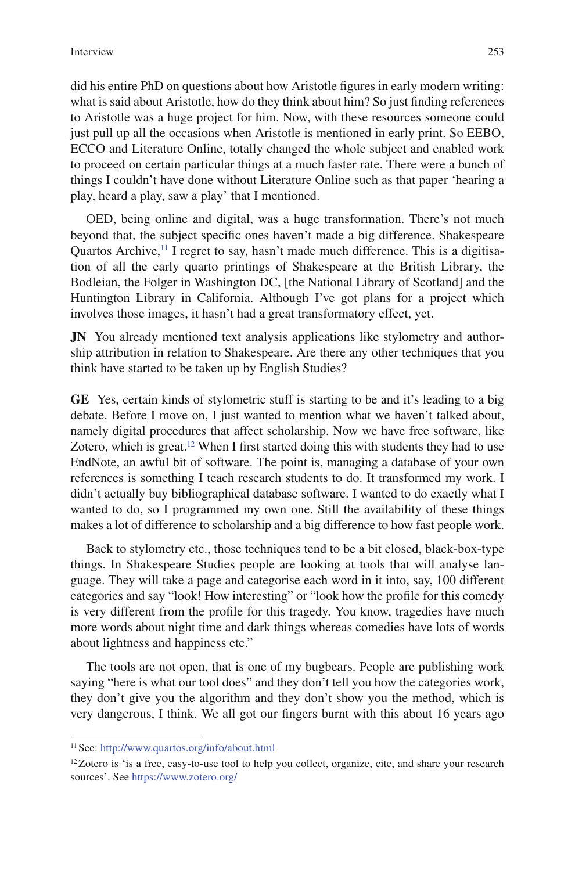did his entire PhD on questions about how Aristotle figures in early modern writing: what is said about Aristotle, how do they think about him? So just finding references to Aristotle was a huge project for him. Now, with these resources someone could just pull up all the occasions when Aristotle is mentioned in early print. So EEBO, ECCO and Literature Online, totally changed the whole subject and enabled work to proceed on certain particular things at a much faster rate. There were a bunch of things I couldn't have done without Literature Online such as that paper 'hearing a play, heard a play, saw a play' that I mentioned.

 OED, being online and digital, was a huge transformation. There's not much beyond that, the subject specific ones haven't made a big difference. Shakespeare Quartos Archive,  $11$  I regret to say, hasn't made much difference. This is a digitisation of all the early quarto printings of Shakespeare at the British Library, the Bodleian, the Folger in Washington DC, [the National Library of Scotland] and the Huntington Library in California. Although I've got plans for a project which involves those images, it hasn't had a great transformatory effect, yet.

 **JN** You already mentioned text analysis applications like stylometry and authorship attribution in relation to Shakespeare. Are there any other techniques that you think have started to be taken up by English Studies?

 **GE** Yes, certain kinds of stylometric stuff is starting to be and it's leading to a big debate. Before I move on, I just wanted to mention what we haven't talked about, namely digital procedures that affect scholarship. Now we have free software, like Zotero, which is great.<sup>12</sup> When I first started doing this with students they had to use EndNote, an awful bit of software. The point is, managing a database of your own references is something I teach research students to do. It transformed my work. I didn't actually buy bibliographical database software. I wanted to do exactly what I wanted to do, so I programmed my own one. Still the availability of these things makes a lot of difference to scholarship and a big difference to how fast people work.

 Back to stylometry etc., those techniques tend to be a bit closed, black-box-type things. In Shakespeare Studies people are looking at tools that will analyse language. They will take a page and categorise each word in it into, say, 100 different categories and say "look! How interesting" or "look how the profile for this comedy is very different from the profile for this tragedy. You know, tragedies have much more words about night time and dark things whereas comedies have lots of words about lightness and happiness etc."

 The tools are not open, that is one of my bugbears. People are publishing work saying "here is what our tool does" and they don't tell you how the categories work, they don't give you the algorithm and they don't show you the method, which is very dangerous, I think. We all got our fingers burnt with this about 16 years ago

<sup>11</sup> See: <http://www.quartos.org/info/about.html>

 $12$  Zotero is 'is a free, easy-to-use tool to help you collect, organize, cite, and share your research sources'. See <https://www.zotero.org/>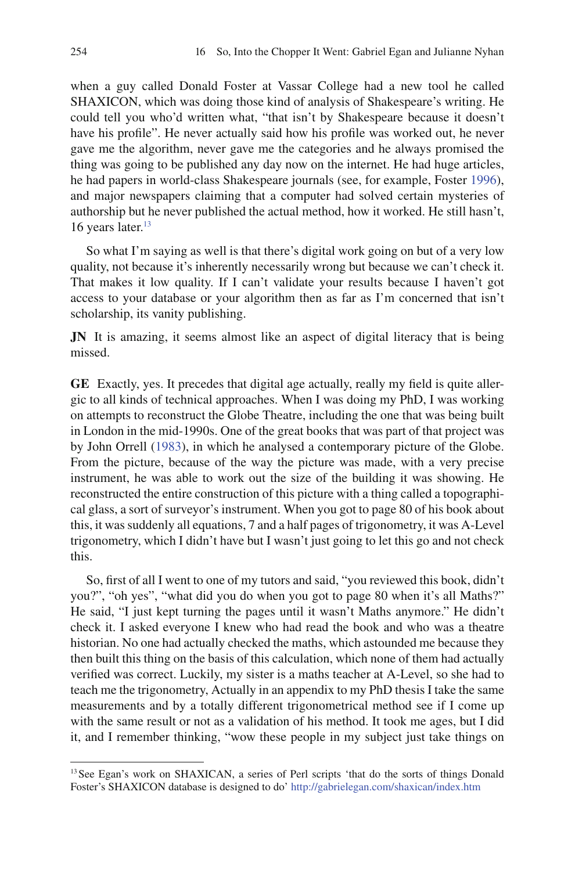when a guy called Donald Foster at Vassar College had a new tool he called SHAXICON, which was doing those kind of analysis of Shakespeare's writing. He could tell you who'd written what, "that isn't by Shakespeare because it doesn't have his profile". He never actually said how his profile was worked out, he never gave me the algorithm, never gave me the categories and he always promised the thing was going to be published any day now on the internet. He had huge articles, he had papers in world-class Shakespeare journals (see, for example, Foster 1996), and major newspapers claiming that a computer had solved certain mysteries of authorship but he never published the actual method, how it worked. He still hasn't, 16 years later.<sup>13</sup>

 So what I'm saying as well is that there's digital work going on but of a very low quality, not because it's inherently necessarily wrong but because we can't check it. That makes it low quality. If I can't validate your results because I haven't got access to your database or your algorithm then as far as I'm concerned that isn't scholarship, its vanity publishing.

 **JN** It is amazing, it seems almost like an aspect of digital literacy that is being missed.

**GE** Exactly, yes. It precedes that digital age actually, really my field is quite allergic to all kinds of technical approaches. When I was doing my PhD, I was working on attempts to reconstruct the Globe Theatre, including the one that was being built in London in the mid-1990s. One of the great books that was part of that project was by John Orrell ( 1983 ), in which he analysed a contemporary picture of the Globe. From the picture, because of the way the picture was made, with a very precise instrument, he was able to work out the size of the building it was showing. He reconstructed the entire construction of this picture with a thing called a topographical glass, a sort of surveyor's instrument. When you got to page 80 of his book about this, it was suddenly all equations, 7 and a half pages of trigonometry, it was A-Level trigonometry, which I didn't have but I wasn't just going to let this go and not check this.

So, first of all I went to one of my tutors and said, "you reviewed this book, didn't you?", "oh yes", "what did you do when you got to page 80 when it's all Maths?" He said, "I just kept turning the pages until it wasn't Maths anymore." He didn't check it. I asked everyone I knew who had read the book and who was a theatre historian. No one had actually checked the maths, which astounded me because they then built this thing on the basis of this calculation, which none of them had actually verified was correct. Luckily, my sister is a maths teacher at A-Level, so she had to teach me the trigonometry, Actually in an appendix to my PhD thesis I take the same measurements and by a totally different trigonometrical method see if I come up with the same result or not as a validation of his method. It took me ages, but I did it, and I remember thinking, "wow these people in my subject just take things on

<sup>&</sup>lt;sup>13</sup> See Egan's work on SHAXICAN, a series of Perl scripts 'that do the sorts of things Donald Foster's SHAXICON database is designed to do' <http://gabrielegan.com/shaxican/index.htm>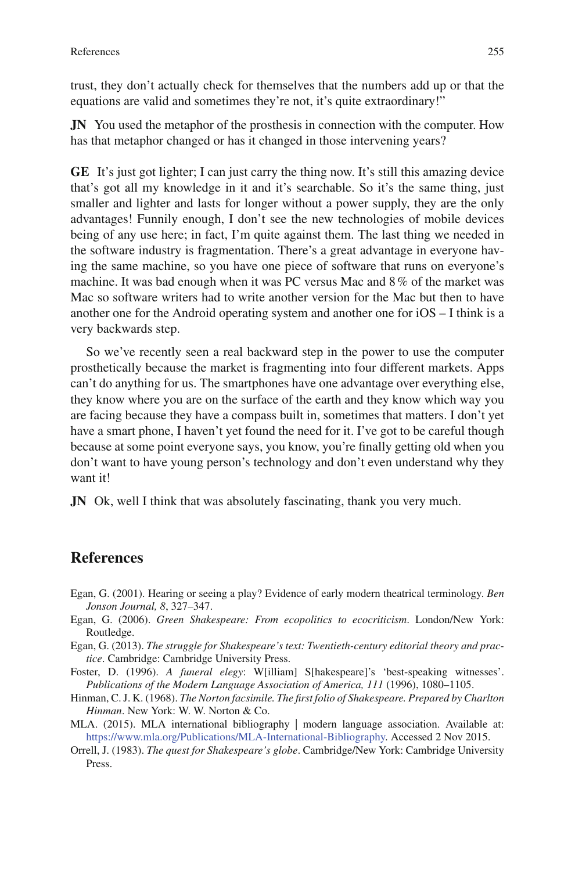trust, they don't actually check for themselves that the numbers add up or that the equations are valid and sometimes they're not, it's quite extraordinary!"

**JN** You used the metaphor of the prosthesis in connection with the computer. How has that metaphor changed or has it changed in those intervening years?

 **GE** It's just got lighter; I can just carry the thing now. It's still this amazing device that's got all my knowledge in it and it's searchable. So it's the same thing, just smaller and lighter and lasts for longer without a power supply, they are the only advantages! Funnily enough, I don't see the new technologies of mobile devices being of any use here; in fact, I'm quite against them. The last thing we needed in the software industry is fragmentation. There's a great advantage in everyone having the same machine, so you have one piece of software that runs on everyone's machine. It was bad enough when it was PC versus Mac and 8 % of the market was Mac so software writers had to write another version for the Mac but then to have another one for the Android operating system and another one for iOS – I think is a very backwards step.

 So we've recently seen a real backward step in the power to use the computer prosthetically because the market is fragmenting into four different markets. Apps can't do anything for us. The smartphones have one advantage over everything else, they know where you are on the surface of the earth and they know which way you are facing because they have a compass built in, sometimes that matters. I don't yet have a smart phone, I haven't yet found the need for it. I've got to be careful though because at some point everyone says, you know, you're finally getting old when you don't want to have young person's technology and don't even understand why they want it!

**JN** Ok, well I think that was absolutely fascinating, thank you very much.

## **References**

- Egan, G. (2001). Hearing or seeing a play? Evidence of early modern theatrical terminology. *Ben Jonson Journal, 8* , 327–347.
- Egan, G. (2006). *Green Shakespeare: From ecopolitics to ecocriticism* . London/New York: Routledge.
- Egan, G. (2013). *The struggle for Shakespeare's text: Twentieth-century editorial theory and practice* . Cambridge: Cambridge University Press.
- Foster, D. (1996). *A funeral elegy*: W[illiam] S[hakespeare]'s 'best-speaking witnesses'. *Publications of the Modern Language Association of America, 111* (1996), 1080–1105.
- Hinman, C. J. K. (1968). *The Norton facsimile. The first folio of Shakespeare. Prepared by Charlton Hinman* . New York: W. W. Norton & Co.
- MLA. (2015). MLA international bibliography | modern language association. Available at:  [https://www.mla.org/Publications/MLA-International-Bibliography.](https://www.mla.org/Publications/MLA-International-Bibliography) Accessed 2 Nov 2015.
- Orrell, J. (1983). *The quest for Shakespeare's globe* . Cambridge/New York: Cambridge University Press.